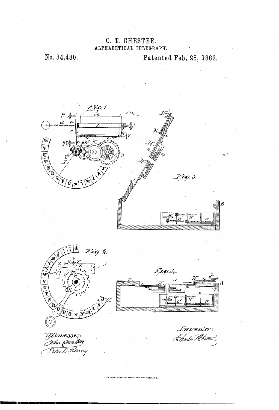## C. T. CHESTER. ALPHABETICAL TELEGRAPH.

No. 34,480.

Patented Feb. 25, 1862.



Inventor: Charles Herten

Wetnesses:<br>*John (Pandon*<br>Titer D Kenny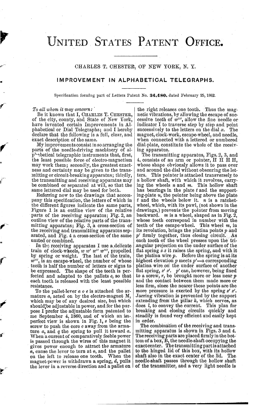## UNITED STATES PATENT OFFICE.

CHARLES T. CHESTER, OF NEW YORK, N.Y.

## IMPROVEMENT IN ALPHABETICAL TELEGRAPHS.

Specification forming part of Letters Patent No. 34,480, dated February 25, 1862.

To all whom it may concern:<br>Be it known that I, CHARLES T. CHESTER, of the city, county, and State of New York, have invented certain Improvements in Alphabetical or Dial Telegraphs; and I hereby declare that the following is a full, clear, and exact description of the same.

My improvements consistin so arranging the parts of the needle-driving machinery of alphabetical telegraphic instruments that, first, the least possible force of electro-magnetism may work them; secondly, the greatest exactness and certainty may be given to the transmitting or circuit-breaking apparatus; thirdly, the transmitting and receiving apparatus may be combined or separated at will, so that the same lettered dial may be used for both.

Referring now to the drawings that accompany this specification, the letters of which in the different figures indicate the same parts, Figure 1 is an outline view of the relative parts of the receiving apparatus; Fig. 2, an outline view of the relative parts of the transmitting apparatus; Fig. 3, a cross-section of the receiving and transmitting apparatus separated, and Fig. 4 a cross-section of the same united or combined.

In the receiving apparatus I use a delicate train of clock-wheels, w w' w'' w''', propelled by spring or weight. The last of the train,  $w^{\prime\prime\prime}$ , is an escape-wheel, the number of whose  $|$ teeth is half the number of letters or signs to be expressed. The shape of the teeth is perfected, and adapted to the pallets  $e$ , so that each tooth is released with the least possible resistance.

To the pallet-lever  $a \circ e$  is attached the armature  $a$ , acted on by the electro-magnet M, which may be of any desired size, but which should'be adjustable in power, and for the purpose I prefer the adjustable form patented to me September 4, 1860, and of which an imperfect view is shown in Fig. 1,  $s$  being the screw to push the core  $c$  away from the arma-<br>ture  $a$ , and  $q$  the spring to pull it toward  $a$ . When a current of comparatively feeble power<br>is passed through the wires of this magnet it gives power enough to attract the armature  $a$ , cause the lever to turn at  $o$ , and the pallet on the left to release one tooth. When the magnet-power is withdrawn a spring,  $d$ , pulls

p

the right releases one tooth. Thus the magnetic vibrations, by allowing the escape of successive teeth of  $w^{\prime\prime\prime}$ , allow the fine needle or indicator I to traverse step by step and point successively to the letters on the dial  $x$ . The magnet, clock-work, escape-wheel, and needle, when connected with a lettered or numbered<br>dial-plate, constitute the whole of the receiv-

ing apparatus.<br>The transmitting apparatus, Figs. 2, 3, and 4, consists of an arm or pointer,  $H H H$ . whose shape obviously allows it to pass over and around the dial without obscuring the let ters. This pointer is attached transversely to a hollow shaft, with which it revolves, carrying the wheels  $n$  and  $m$ . This hollow shaft has bearings in the plate  $t$  and the support $t$  and the wheels below it,  $n$  is a ratchetwheel, which, with its pawl, (not shown in the drawings,) prevents the pointer from moving backward. *m* is a wheel, shaped as in Fig. 2, whose teeth correspond in number with the teeth of the escape-wheel. This wheel  $m$ , in its revolution, brings the platina points  $p$  and  $p'$  firmly together, thus closing circuit. As each tooth of the wheel presses upon the tri angular projection on the under surface of the flat spring  $\dot{x} \dot{x}$  it raises the spring, and with it the platina wire  $p$ . Before the spring is at its highest elevation p meets  $p'$ -a corresponding platina wire on the under surface of another flat spring,  $z' z'$ . p' can, however, being fixed to a screw, r, be brought more or less near p and the contact between them made more or less firm, since the nearer these points are the more pressure is exerted by the spring  $z' z'$ . Jarring vibration is prevented by the support extending from the pillar  $k$ , which serves, as does  $l$ , to convey the current. This plan for breaking and closing circuits quickly and steadily is found very efficient and easily kept in order.

magnet-power is withdrawn a spring, *a*, pulls the direction and a pallet on  $\frac{1}{2}$  and a very light needle is The combination of the receiving and trans mitting apparatus is shown in Figs. 3 and 4. The receiving parts are placed firmly in the bot tom of a box, B, the needle-shaft occupying the exactcenter. The transmitting part is attached to the hinged lid of this box, with its hollow shaft also in the exact center of the lid. The needle-shaft passes through the hollow shaft

M - - - -r ... ------ milmmami